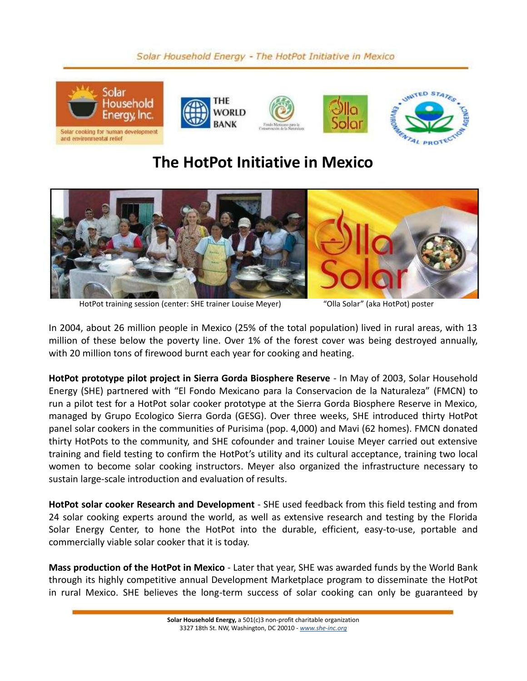## Solar Household Energy - The HotPot Initiative in Mexico



## **The HotPot Initiative in Mexico**



HotPot training session (center: SHE trainer Louise Meyer) "Olla Solar" (aka HotPot) poster

In 2004, about 26 million people in Mexico (25% of the total population) lived in rural areas, with 13 million of these below the poverty line. Over 1% of the forest cover was being destroyed annually, with 20 million tons of firewood burnt each year for cooking and heating.

**HotPot prototype pilot project in Sierra Gorda Biosphere Reserve** - In May of 2003, Solar Household Energy (SHE) partnered with "El Fondo Mexicano para la Conservacion de la Naturaleza" (FMCN) to run a pilot test for a HotPot solar cooker prototype at the Sierra Gorda Biosphere Reserve in Mexico, managed by Grupo Ecologico Sierra Gorda (GESG). Over three weeks, SHE introduced thirty HotPot panel solar cookers in the communities of Purisima (pop. 4,000) and Mavi (62 homes). FMCN donated thirty HotPots to the community, and SHE cofounder and trainer Louise Meyer carried out extensive training and field testing to confirm the HotPot's utility and its cultural acceptance, training two local women to become solar cooking instructors. Meyer also organized the infrastructure necessary to sustain large-scale introduction and evaluation of results.

**HotPot solar cooker Research and Development** - SHE used feedback from this field testing and from 24 solar cooking experts around the world, as well as extensive research and testing by the Florida Solar Energy Center, to hone the HotPot into the durable, efficient, easy-to-use, portable and commercially viable solar cooker that it is today.

**Mass production of the HotPot in Mexico** - Later that year, SHE was awarded funds by the World Bank through its highly competitive annual Development Marketplace program to disseminate the HotPot in rural Mexico. SHE believes the long-term success of solar cooking can only be guaranteed by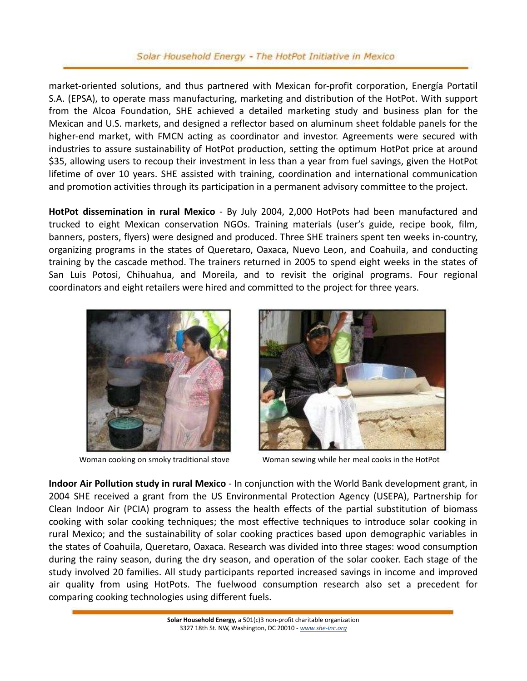## Solar Household Energy - The HotPot Initiative in Mexico

market-oriented solutions, and thus partnered with Mexican for-profit corporation, Energía Portatil S.A. (EPSA), to operate mass manufacturing, marketing and distribution of the HotPot. With support from the Alcoa Foundation, SHE achieved a detailed marketing study and business plan for the Mexican and U.S. markets, and designed a reflector based on aluminum sheet foldable panels for the higher-end market, with FMCN acting as coordinator and investor. Agreements were secured with industries to assure sustainability of HotPot production, setting the optimum HotPot price at around \$35, allowing users to recoup their investment in less than a year from fuel savings, given the HotPot lifetime of over 10 years. SHE assisted with training, coordination and international communication and promotion activities through its participation in a permanent advisory committee to the project.

**HotPot dissemination in rural Mexico** - By July 2004, 2,000 HotPots had been manufactured and trucked to eight Mexican conservation NGOs. Training materials (user's guide, recipe book, film, banners, posters, flyers) were designed and produced. Three SHE trainers spent ten weeks in-country, organizing programs in the states of Queretaro, Oaxaca, Nuevo Leon, and Coahuila, and conducting training by the cascade method. The trainers returned in 2005 to spend eight weeks in the states of San Luis Potosi, Chihuahua, and Moreila, and to revisit the original programs. Four regional coordinators and eight retailers were hired and committed to the project for three years.





Woman cooking on smoky traditional stove Woman sewing while her meal cooks in the HotPot

**Indoor Air Pollution study in rural Mexico** - In conjunction with the World Bank development grant, in 2004 SHE received a grant from the US Environmental Protection Agency (USEPA), Partnership for Clean Indoor Air (PCIA) program to assess the health effects of the partial substitution of biomass cooking with solar cooking techniques; the most effective techniques to introduce solar cooking in rural Mexico; and the sustainability of solar cooking practices based upon demographic variables in the states of Coahuila, Queretaro, Oaxaca. Research was divided into three stages: wood consumption during the rainy season, during the dry season, and operation of the solar cooker. Each stage of the study involved 20 families. All study participants reported increased savings in income and improved air quality from using HotPots. The fuelwood consumption research also set a precedent for comparing cooking technologies using different fuels.